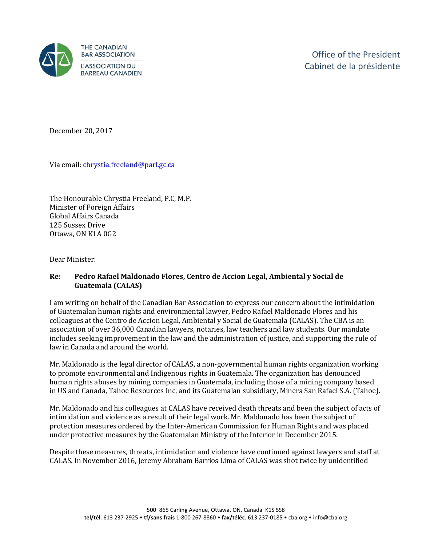

December 20, 2017

Via email[: chrystia.freeland@parl.gc.ca](mailto:chrystia.freeland@parl.gc.ca) 

The Honourable Chrystia Freeland, P.C, M.P. Minister of Foreign Affairs Global Affairs Canada 125 Sussex Drive Ottawa, ON K1A 0G2

Dear Minister:

## **Re: Pedro Rafael Maldonado Flores, Centro de Accion Legal, Ambiental y Social de Guatemala (CALAS)**

I am writing on behalf of the Canadian Bar Association to express our concern about the intimidation of Guatemalan human rights and environmental lawyer, Pedro Rafael Maldonado Flores and his colleagues at the Centro de Accion Legal, Ambiental y Social de Guatemala (CALAS). The CBA is an association of over 36,000 Canadian lawyers, notaries, law teachers and law students. Our mandate includes seeking improvement in the law and the administration of justice, and supporting the rule of law in Canada and around the world.

Mr. Maldonado is the legal director of CALAS, a non-governmental human rights organization working to promote environmental and Indigenous rights in Guatemala. The organization has denounced human rights abuses by mining companies in Guatemala, including those of a mining company based in US and Canada, Tahoe Resources Inc, and its Guatemalan subsidiary, Minera San Rafael S.A. (Tahoe).

Mr. Maldonado and his colleagues at CALAS have received death threats and been the subject of acts of intimidation and violence as a result of their legal work. Mr. Maldonado has been the subject of protection measures ordered by the Inter-American Commission for Human Rights and was placed under protective measures by the Guatemalan Ministry of the Interior in December 2015.

Despite these measures, threats, intimidation and violence have continued against lawyers and staff at CALAS. In November 2016, Jeremy Abraham Barrios Lima of CALAS was shot twice by unidentified